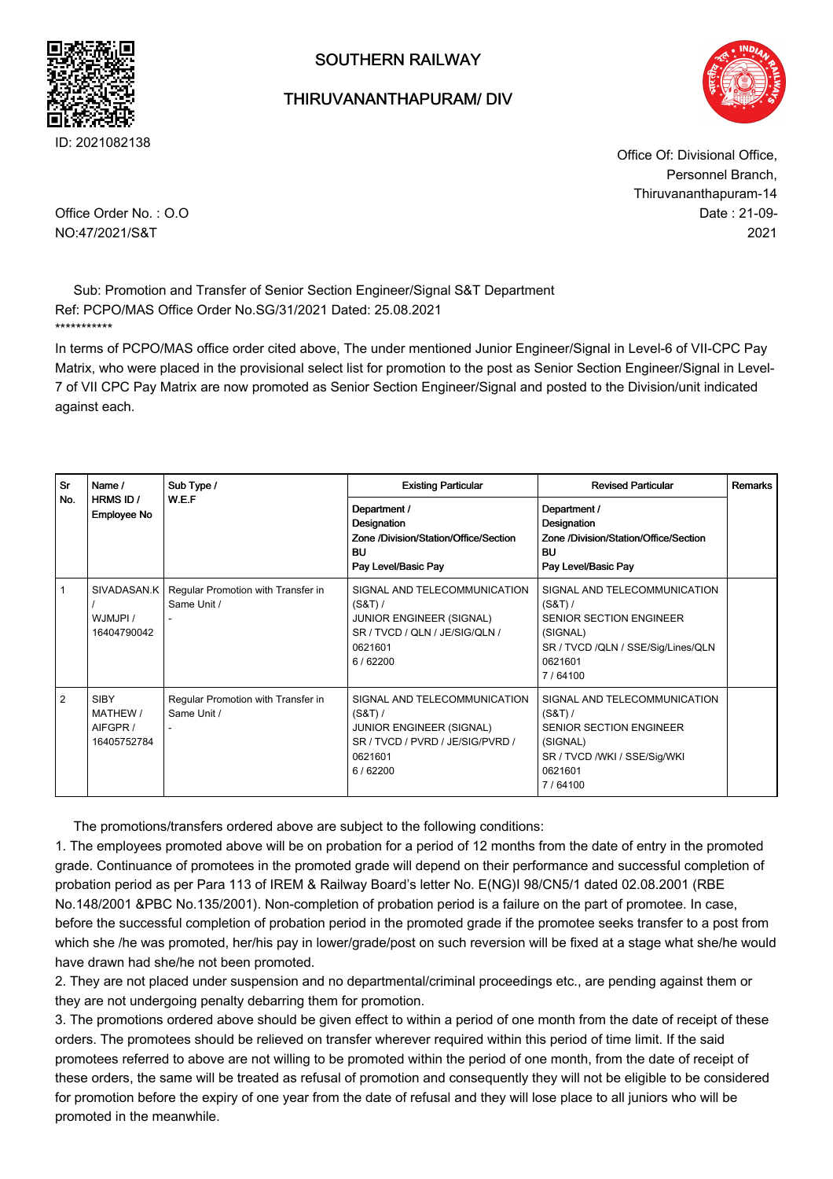

## SOUTHERN RAILWAY

## THIRUVANANTHAPURAM/ DIV



Date : 21-09- 2021 Office Of: Divisional Office, Personnel Branch, Thiruvananthapuram-14

Office Order No. : O.O NO:47/2021/S&T

Sub: Promotion and Transfer of Senior Section Engineer/Signal S&T Department Ref: PCPO/MAS Office Order No.SG/31/2021 Dated: 25.08.2021 \*\*\*\*\*\*\*\*\*\*\*

In terms of PCPO/MAS office order cited above, The under mentioned Junior Engineer/Signal in Level-6 of VII-CPC Pay Matrix, who were placed in the provisional select list for promotion to the post as Senior Section Engineer/Signal in Level-7 of VII CPC Pay Matrix are now promoted as Senior Section Engineer/Signal and posted to the Division/unit indicated against each.

| Sr             | Name /                                             | Sub Type /                                        | <b>Existing Particular</b>                                                                                                             | <b>Revised Particular</b>                                                                                                                           | Remarks |
|----------------|----------------------------------------------------|---------------------------------------------------|----------------------------------------------------------------------------------------------------------------------------------------|-----------------------------------------------------------------------------------------------------------------------------------------------------|---------|
| No.            | HRMS ID /<br><b>Employee No</b>                    | W.E.F                                             | Department /<br>Designation<br>Zone /Division/Station/Office/Section<br>BU<br>Pay Level/Basic Pay                                      | Department /<br>Designation<br>Zone /Division/Station/Office/Section<br>BU<br>Pay Level/Basic Pay                                                   |         |
|                | SIVADASAN.K<br>WJMJPI /<br>16404790042             | Regular Promotion with Transfer in<br>Same Unit / | SIGNAL AND TELECOMMUNICATION<br>$(S&T)$ /<br>JUNIOR ENGINEER (SIGNAL)<br>SR / TVCD / QLN / JE/SIG/QLN /<br>0621601<br>6/62200          | SIGNAL AND TELECOMMUNICATION<br>$(S&T)$ /<br><b>SENIOR SECTION ENGINEER</b><br>(SIGNAL)<br>SR / TVCD /QLN / SSE/Sig/Lines/QLN<br>0621601<br>7/64100 |         |
| $\overline{2}$ | <b>SIBY</b><br>MATHEW /<br>AIFGPR /<br>16405752784 | Regular Promotion with Transfer in<br>Same Unit / | SIGNAL AND TELECOMMUNICATION<br>$(S&T)$ /<br><b>JUNIOR ENGINEER (SIGNAL)</b><br>SR / TVCD / PVRD / JE/SIG/PVRD /<br>0621601<br>6/62200 | SIGNAL AND TELECOMMUNICATION<br>$(S&T)$ /<br><b>SENIOR SECTION ENGINEER</b><br>(SIGNAL)<br>SR / TVCD /WKI / SSE/Sig/WKI<br>0621601<br>7/64100       |         |

The promotions/transfers ordered above are subject to the following conditions:

1. The employees promoted above will be on probation for a period of 12 months from the date of entry in the promoted grade. Continuance of promotees in the promoted grade will depend on their performance and successful completion of probation period as per Para 113 of IREM & Railway Board's letter No. E(NG)I 98/CN5/1 dated 02.08.2001 (RBE No.148/2001 &PBC No.135/2001). Non-completion of probation period is a failure on the part of promotee. In case, before the successful completion of probation period in the promoted grade if the promotee seeks transfer to a post from which she /he was promoted, her/his pay in lower/grade/post on such reversion will be fixed at a stage what she/he would have drawn had she/he not been promoted.

2. They are not placed under suspension and no departmental/criminal proceedings etc., are pending against them or they are not undergoing penalty debarring them for promotion.

3. The promotions ordered above should be given effect to within a period of one month from the date of receipt of these orders. The promotees should be relieved on transfer wherever required within this period of time limit. If the said promotees referred to above are not willing to be promoted within the period of one month, from the date of receipt of these orders, the same will be treated as refusal of promotion and consequently they will not be eligible to be considered for promotion before the expiry of one year from the date of refusal and they will lose place to all juniors who will be promoted in the meanwhile.